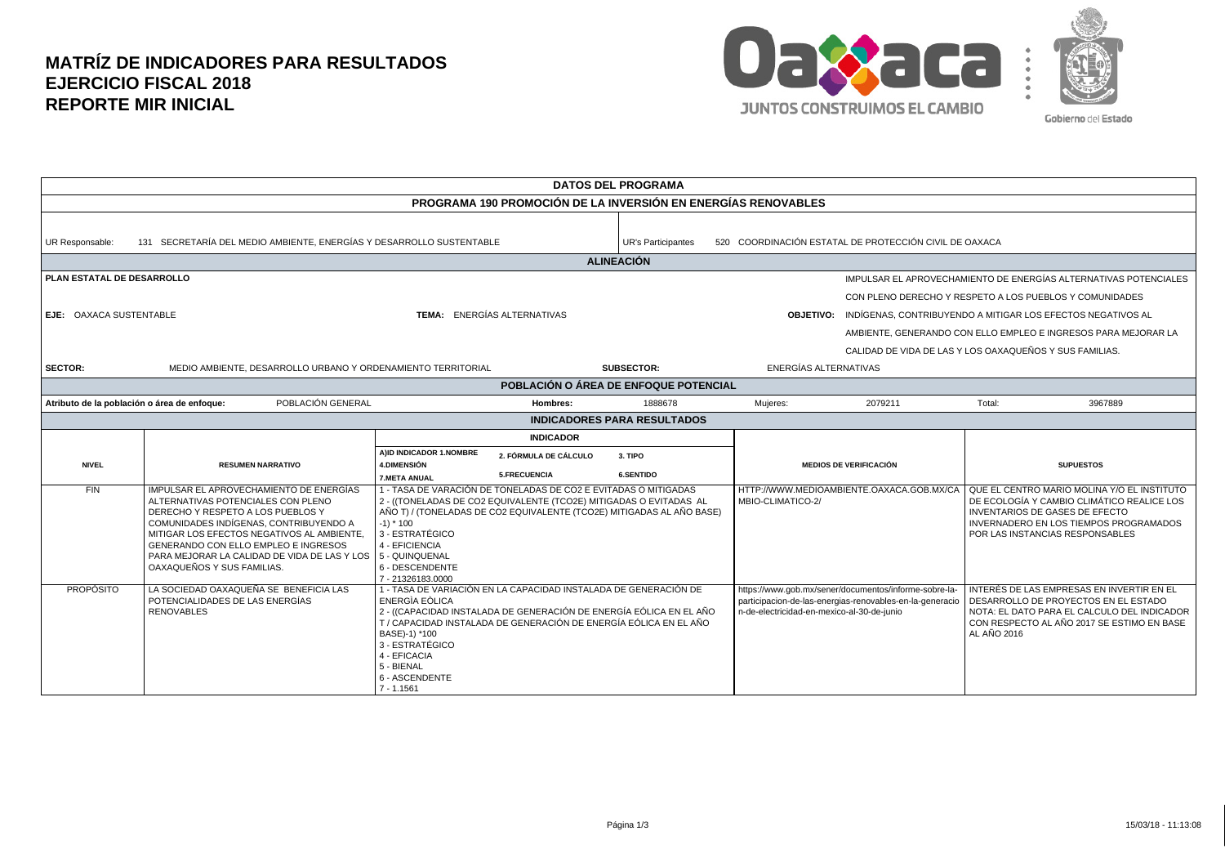## **MATRÍZ DE INDICADORES PARA RESULTADOS EJERCICIO FISCAL 2018 REPORTE MIR INICIAL**



| <b>DATOS DEL PROGRAMA</b>                                                                          |                                                                                                                                                                                                                                                                                                                                  |                                                                                                                                                                                        |                                                     |                                                                                                                                             |                                            |                                                                                                                   |                                                                                                                                                                                                                                                                               |  |  |  |
|----------------------------------------------------------------------------------------------------|----------------------------------------------------------------------------------------------------------------------------------------------------------------------------------------------------------------------------------------------------------------------------------------------------------------------------------|----------------------------------------------------------------------------------------------------------------------------------------------------------------------------------------|-----------------------------------------------------|---------------------------------------------------------------------------------------------------------------------------------------------|--------------------------------------------|-------------------------------------------------------------------------------------------------------------------|-------------------------------------------------------------------------------------------------------------------------------------------------------------------------------------------------------------------------------------------------------------------------------|--|--|--|
| PROGRAMA 190 PROMOCIÓN DE LA INVERSIÓN EN ENERGÍAS RENOVABLES                                      |                                                                                                                                                                                                                                                                                                                                  |                                                                                                                                                                                        |                                                     |                                                                                                                                             |                                            |                                                                                                                   |                                                                                                                                                                                                                                                                               |  |  |  |
| 131 SECRETARÍA DEL MEDIO AMBIENTE, ENERGÍAS Y DESARROLLO SUSTENTABLE<br>UR Responsable:            |                                                                                                                                                                                                                                                                                                                                  |                                                                                                                                                                                        |                                                     | <b>UR's Participantes</b>                                                                                                                   |                                            | 520 COORDINACIÓN ESTATAL DE PROTECCIÓN CIVIL DE OAXACA                                                            |                                                                                                                                                                                                                                                                               |  |  |  |
|                                                                                                    | <b>ALINEACIÓN</b>                                                                                                                                                                                                                                                                                                                |                                                                                                                                                                                        |                                                     |                                                                                                                                             |                                            |                                                                                                                   |                                                                                                                                                                                                                                                                               |  |  |  |
| PLAN ESTATAL DE DESARROLLO<br><b>TEMA: ENERGÍAS ALTERNATIVAS</b><br><b>EJE: OAXACA SUSTENTABLE</b> |                                                                                                                                                                                                                                                                                                                                  |                                                                                                                                                                                        |                                                     |                                                                                                                                             |                                            |                                                                                                                   | IMPULSAR EL APROVECHAMIENTO DE ENERGÍAS ALTERNATIVAS POTENCIALES<br>CON PLENO DERECHO Y RESPETO A LOS PUEBLOS Y COMUNIDADES<br><b>OBJETIVO:</b> INDÍGENAS, CONTRIBUYENDO A MITIGAR LOS EFECTOS NEGATIVOS AL<br>AMBIENTE, GENERANDO CON ELLO EMPLEO E INGRESOS PARA MEJORAR LA |  |  |  |
| <b>SECTOR:</b>                                                                                     | MEDIO AMBIENTE. DESARROLLO URBANO Y ORDENAMIENTO TERRITORIAL                                                                                                                                                                                                                                                                     |                                                                                                                                                                                        |                                                     | <b>SUBSECTOR:</b>                                                                                                                           | ENERGÍAS ALTERNATIVAS                      |                                                                                                                   | CALIDAD DE VIDA DE LAS Y LOS OAXAQUEÑOS Y SUS FAMILIAS.                                                                                                                                                                                                                       |  |  |  |
| POBLACIÓN O ÁREA DE ENFOQUE POTENCIAL                                                              |                                                                                                                                                                                                                                                                                                                                  |                                                                                                                                                                                        |                                                     |                                                                                                                                             |                                            |                                                                                                                   |                                                                                                                                                                                                                                                                               |  |  |  |
| POBLACIÓN GENERAL<br>Atributo de la población o área de enfoque:<br>Hombres:                       |                                                                                                                                                                                                                                                                                                                                  |                                                                                                                                                                                        |                                                     | 1888678                                                                                                                                     | Mujeres:                                   | 2079211                                                                                                           | Total:<br>3967889                                                                                                                                                                                                                                                             |  |  |  |
| <b>INDICADORES PARA RESULTADOS</b>                                                                 |                                                                                                                                                                                                                                                                                                                                  |                                                                                                                                                                                        |                                                     |                                                                                                                                             |                                            |                                                                                                                   |                                                                                                                                                                                                                                                                               |  |  |  |
|                                                                                                    | <b>INDICADOR</b>                                                                                                                                                                                                                                                                                                                 |                                                                                                                                                                                        |                                                     |                                                                                                                                             |                                            |                                                                                                                   |                                                                                                                                                                                                                                                                               |  |  |  |
| <b>NIVEL</b>                                                                                       | <b>RESUMEN NARRATIVO</b>                                                                                                                                                                                                                                                                                                         | AIID INDICADOR 1.NOMBRE<br><b>4.DIMENSIÓN</b><br><b>7.META ANUAL</b>                                                                                                                   | <b>2. FÓRMULA DE CÁLCULO</b><br><b>5.FRECUENCIA</b> | 3. TIPO<br><b>6.SENTIDO</b>                                                                                                                 |                                            | <b>MEDIOS DE VERIFICACIÓN</b>                                                                                     | <b>SUPUESTOS</b>                                                                                                                                                                                                                                                              |  |  |  |
| <b>FIN</b>                                                                                         | IMPULSAR EL APROVECHAMIENTO DE ENERGÍAS<br>ALTERNATIVAS POTENCIALES CON PLENO<br>DERECHO Y RESPETO A LOS PUEBLOS Y<br>COMUNIDADES INDÍGENAS, CONTRIBUYENDO A<br>MITIGAR LOS EFECTOS NEGATIVOS AL AMBIENTE,<br>GENERANDO CON ELLO EMPLEO E INGRESOS<br>PARA MEJORAR LA CALIDAD DE VIDA DE LAS Y LOS<br>OAXAQUEÑOS Y SUS FAMILIAS. | 1 - TASA DE VARACIÓN DE TONELADAS DE CO2 E EVITADAS O MITIGADAS<br>$-1$ ) * 100<br>3 - ESTRATÉGICO<br>4 - EFICIENCIA<br>5 - QUINQUENAL<br>6 - DESCENDENTE<br>7 - 21326183.0000         |                                                     | 2 - ((TONELADAS DE CO2 EQUIVALENTE (TCO2E) MITIGADAS O EVITADAS AL<br>AÑO T) / (TONELADAS DE CO2 EQUIVALENTE (TCO2E) MITIGADAS AL AÑO BASE) | MBIO-CLIMATICO-2/                          |                                                                                                                   | HTTP://WWW.MEDIOAMBIENTE.OAXACA.GOB.MX/CA QUE EL CENTRO MARIO MOLINA Y/O EL INSTITUTO<br>DE ECOLOGÍA Y CAMBIO CLIMÁTICO REALICE LOS<br>I INVENTARIOS DE GASES DE EFECTO<br><b>INVERNADERO EN LOS TIEMPOS PROGRAMADOS</b><br>POR LAS INSTANCIAS RESPONSABLES                   |  |  |  |
| <b>PROPÓSITO</b>                                                                                   | LA SOCIEDAD OAXAQUEÑA SE BENEFICIA LAS<br>POTENCIALIDADES DE LAS ENERGÍAS<br><b>RENOVABLES</b>                                                                                                                                                                                                                                   | 1 - TASA DE VARIACIÓN EN LA CAPACIDAD INSTALADA DE GENERACIÓN DE<br>ENERGIA EÒLICA<br>BASE)-1) *100<br>3 - ESTRATÉGICO<br>4 - EFICACIA<br>5 - BIENAL<br>6 - ASCENDENTE<br>$7 - 1.1561$ |                                                     | 2 - ((CAPACIDAD INSTALADA DE GENERACIÓN DE ENERGÍA EÓLICA EN EL AÑO<br>T / CAPACIDAD INSTALADA DE GENERACIÓN DE ENERGÍA EÓLICA EN EL AÑO    | n-de-electricidad-en-mexico-al-30-de-junio | https://www.gob.mx/sener/documentos/informe-sobre-la-<br>participacion-de-las-energias-renovables-en-la-generacio | INTERÉS DE LAS EMPRESAS EN INVERTIR EN EL<br>DESARROLLO DE PROYECTOS EN EL ESTADO<br>NOTA: EL DATO PARA EL CALCULO DEL INDICADOR<br>CON RESPECTO AL AÑO 2017 SE ESTIMO EN BASE<br>AL AÑO 2016                                                                                 |  |  |  |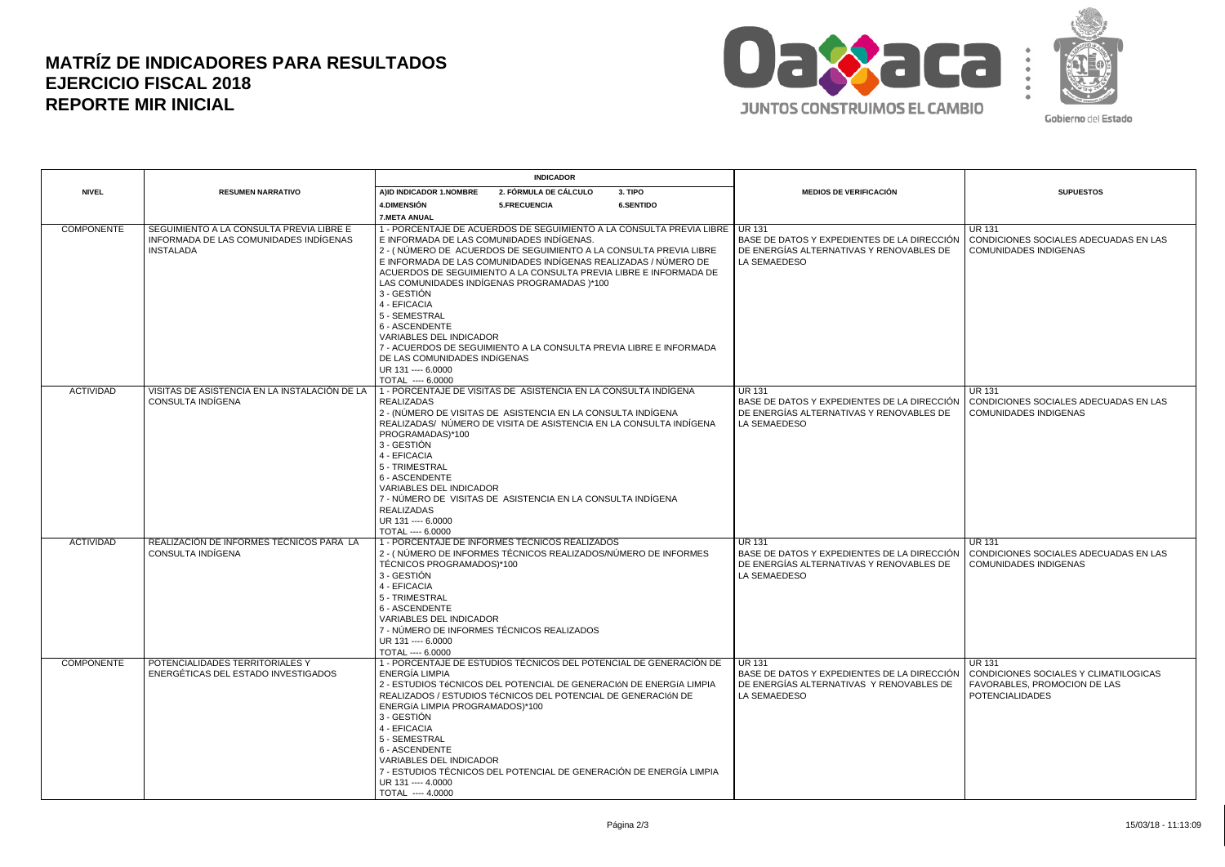## **MATRÍZ DE INDICADORES PARA RESULTADOS EJERCICIO FISCAL 2018 REPORTE MIR INICIAL**



Gobierno del Estado

|                   | <b>RESUMEN NARRATIVO</b>                                                                               | <b>INDICADOR</b>                                                                                                                                                                                                                                                                                                                                                                                                                                                                                                                                                 |                                                                                                                                                                                                                                                                                   |                                                                                                         |                                                                                                                                 | <b>SUPUESTOS</b>                                                                                                 |
|-------------------|--------------------------------------------------------------------------------------------------------|------------------------------------------------------------------------------------------------------------------------------------------------------------------------------------------------------------------------------------------------------------------------------------------------------------------------------------------------------------------------------------------------------------------------------------------------------------------------------------------------------------------------------------------------------------------|-----------------------------------------------------------------------------------------------------------------------------------------------------------------------------------------------------------------------------------------------------------------------------------|---------------------------------------------------------------------------------------------------------|---------------------------------------------------------------------------------------------------------------------------------|------------------------------------------------------------------------------------------------------------------|
| <b>NIVEL</b>      |                                                                                                        | 3. TIPO<br>A)ID INDICADOR 1.NOMBRE<br>2. FÓRMULA DE CÁLCULO                                                                                                                                                                                                                                                                                                                                                                                                                                                                                                      |                                                                                                                                                                                                                                                                                   | <b>MEDIOS DE VERIFICACIÓN</b>                                                                           |                                                                                                                                 |                                                                                                                  |
|                   |                                                                                                        | 4. DIMENSIÓN                                                                                                                                                                                                                                                                                                                                                                                                                                                                                                                                                     | 5.FRECUENCIA                                                                                                                                                                                                                                                                      | 6.SENTIDO                                                                                               |                                                                                                                                 |                                                                                                                  |
|                   |                                                                                                        | 7.META ANUAL                                                                                                                                                                                                                                                                                                                                                                                                                                                                                                                                                     |                                                                                                                                                                                                                                                                                   |                                                                                                         |                                                                                                                                 |                                                                                                                  |
| <b>COMPONENTE</b> | SEGUIMIENTO A LA CONSULTA PREVIA LIBRE E<br>INFORMADA DE LAS COMUNIDADES INDÍGENAS<br><b>INSTALADA</b> | 1 - PORCENTAJE DE ACUERDOS DE SEGUIMIENTO A LA CONSULTA PREVIA LIBRE   UR 131<br>E INFORMADA DE LAS COMUNIDADES INDÍGENAS.<br>2 - (NÚMERO DE ACUERDOS DE SEGUIMIENTO A LA CONSULTA PREVIA LIBRE<br>E INFORMADA DE LAS COMUNIDADES INDÍGENAS REALIZADAS / NÚMERO DE<br>ACUERDOS DE SEGUIMIENTO A LA CONSULTA PREVIA LIBRE E INFORMADA DE<br>LAS COMUNIDADES INDÍGENAS PROGRAMADAS )*100<br>3 - GESTIÓN<br>4 - EFICACIA<br>5 - SEMESTRAL<br>6 - ASCENDENTE<br><b>VARIABLES DEL INDICADOR</b><br>7 - ACUERDOS DE SEGUIMIENTO A LA CONSULTA PREVIA LIBRE E INFORMADA |                                                                                                                                                                                                                                                                                   | BASE DE DATOS Y EXPEDIENTES DE LA DIRECCIÓN<br>DE ENERGÍAS ALTERNATIVAS Y RENOVABLES DE<br>LA SEMAEDESO | <b>UR 131</b><br>CONDICIONES SOCIALES ADECUADAS EN LAS<br><b>COMUNIDADES INDIGENAS</b>                                          |                                                                                                                  |
|                   |                                                                                                        | DE LAS COMUNIDADES INDÍGENAS<br>UR 131 ---- 6.0000<br>TOTAL ---- 6.0000                                                                                                                                                                                                                                                                                                                                                                                                                                                                                          |                                                                                                                                                                                                                                                                                   |                                                                                                         |                                                                                                                                 |                                                                                                                  |
| <b>ACTIVIDAD</b>  | VISITAS DE ASISTENCIA EN LA INSTALACIÓN DE LA<br>CONSULTA INDÍGENA                                     | <b>REALIZADAS</b><br>PROGRAMADAS)*100<br>3 - GESTIÓN<br>4 - EFICACIA<br>5 - TRIMESTRAL<br>6 - ASCENDENTE<br><b>VARIABLES DEL INDICADOR</b>                                                                                                                                                                                                                                                                                                                                                                                                                       | 1 - PORCENTAJE DE VISITAS DE ASISTENCIA EN LA CONSULTA INDÍGENA<br>2 - (NÚMERO DE VISITAS DE ASISTENCIA EN LA CONSULTA INDIGENA<br>REALIZADAS/ NÚMERO DE VISITA DE ASISTENCIA EN LA CONSULTA INDÍGENA                                                                             |                                                                                                         | <b>UR 131</b><br>BASE DE DATOS Y EXPEDIENTES DE LA DIRECCIÓN<br>DE ENERGÍAS ALTERNATIVAS Y RENOVABLES DE<br><b>LA SEMAEDESO</b> | <b>UR 131</b><br>CONDICIONES SOCIALES ADECUADAS EN LAS<br><b>COMUNIDADES INDIGENAS</b>                           |
|                   |                                                                                                        | <b>REALIZADAS</b><br>UR 131 ---- 6,0000                                                                                                                                                                                                                                                                                                                                                                                                                                                                                                                          | 7 - NÚMERO DE VISITAS DE ASISTENCIA EN LA CONSULTA INDÍGENA                                                                                                                                                                                                                       |                                                                                                         |                                                                                                                                 |                                                                                                                  |
|                   |                                                                                                        | TOTAL ---- 6.0000                                                                                                                                                                                                                                                                                                                                                                                                                                                                                                                                                |                                                                                                                                                                                                                                                                                   |                                                                                                         |                                                                                                                                 |                                                                                                                  |
| <b>ACTIVIDAD</b>  | REALIZACIÓN DE INFORMES TÉCNICOS PARA LA<br>CONSULTA INDIGENA                                          | TÉCNICOS PROGRAMADOS)*100<br>3 - GESTIÓN<br>4 - EFICACIA<br>5 - TRIMESTRAL<br>6 - ASCENDENTE<br><b>VARIABLES DEL INDICADOR</b><br>UR 131 ---- 6,0000<br>TOTAL ---- 6.0000                                                                                                                                                                                                                                                                                                                                                                                        | 1 - PORCENTAJE DE INFORMES TÉCNICOS REALIZADOS<br>2 - (NÚMERO DE INFORMES TÉCNICOS REALIZADOS/NÚMERO DE INFORMES<br>7 - NÚMERO DE INFORMES TÉCNICOS REALIZADOS                                                                                                                    |                                                                                                         | <b>UR 131</b><br>BASE DE DATOS Y EXPEDIENTES DE LA DIRECCIÓN<br>DE ENERGÍAS ALTERNATIVAS Y RENOVABLES DE<br><b>LA SEMAEDESO</b> | <b>UR 131</b><br>CONDICIONES SOCIALES ADECUADAS EN LAS<br><b>COMUNIDADES INDIGENAS</b>                           |
| <b>COMPONENTE</b> | POTENCIALIDADES TERRITORIALES Y<br>ENERGÉTICAS DEL ESTADO INVESTIGADOS                                 | ENERGÍA LIMPIA<br>ENERGÍA LIMPIA PROGRAMADOS)*100<br>3 - GESTIÓN<br>4 - EFICACIA<br>5 - SEMESTRAL<br>6 - ASCENDENTE<br>VARIABLES DEL INDICADOR<br>UR 131 ---- 4.0000<br>TOTAL ---- 4.0000                                                                                                                                                                                                                                                                                                                                                                        | 1 - PORCENTAJE DE ESTUDIOS TÉCNICOS DEL POTENCIAL DE GENERACIÓN DE<br>2 - ESTUDIOS TéCNICOS DEL POTENCIAL DE GENERACIÓN DE ENERGÍA LIMPIA<br>REALIZADOS / ESTUDIOS TéCNICOS DEL POTENCIAL DE GENERACIÓN DE<br>7 - ESTUDIOS TÉCNICOS DEL POTENCIAL DE GENERACIÓN DE ENERGÍA LIMPIA |                                                                                                         | <b>UR 131</b><br>BASE DE DATOS Y EXPEDIENTES DE LA DIRECCIÓN<br>DE ENERGÍAS ALTERNATIVAS Y RENOVABLES DE<br>LA SEMAEDESO        | <b>UR 131</b><br>CONDICIONES SOCIALES Y CLIMATILOGICAS<br>FAVORABLES, PROMOCION DE LAS<br><b>POTENCIALIDADES</b> |